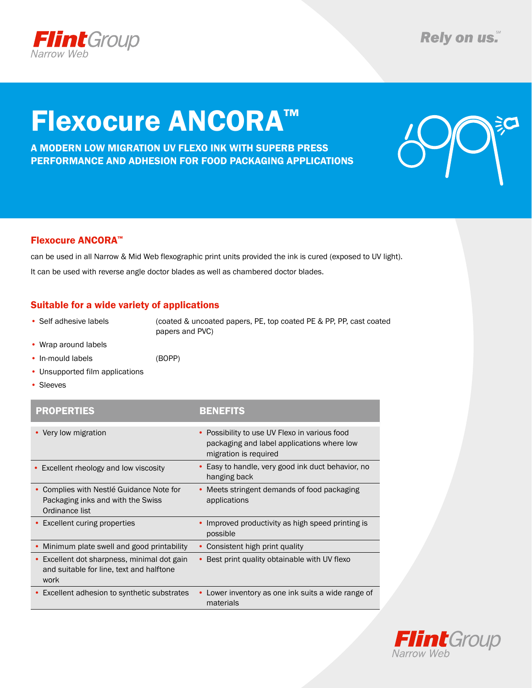

# Flexocure ANCORA™

A Modern low migration uv flexo ink with superb press performance and adhesion for food packaging applications



### Flexocure ANCORA™

can be used in all Narrow & Mid Web flexographic print units provided the ink is cured (exposed to UV light). It can be used with reverse angle doctor blades as well as chambered doctor blades.

### Suitable for a wide variety of applications

• Self adhesive labels (coated & uncoated papers, PE, top coated PE & PP, PP, cast coated papers and PVC)

- • Wrap around labels
- In-mould labels (BOPP)
- Unsupported film applications
- • Sleeves

| <b>PROPERTIES</b>                                                                                          | <b>BENEFITS</b>                                                                                                      |
|------------------------------------------------------------------------------------------------------------|----------------------------------------------------------------------------------------------------------------------|
| • Very low migration                                                                                       | • Possibility to use UV Flexo in various food<br>packaging and label applications where low<br>migration is required |
| • Excellent rheology and low viscosity                                                                     | • Easy to handle, very good ink duct behavior, no<br>hanging back                                                    |
| Complies with Nestlé Guidance Note for<br>$\bullet$<br>Packaging inks and with the Swiss<br>Ordinance list | • Meets stringent demands of food packaging<br>applications                                                          |
| • Excellent curing properties                                                                              | Improved productivity as high speed printing is<br>possible                                                          |
| Minimum plate swell and good printability                                                                  | Consistent high print quality                                                                                        |
| • Excellent dot sharpness, minimal dot gain<br>and suitable for line, text and halftone<br>work            | • Best print quality obtainable with UV flexo                                                                        |
| • Excellent adhesion to synthetic substrates                                                               | Lower inventory as one ink suits a wide range of<br>materials                                                        |